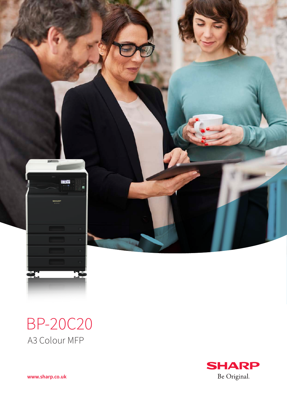

## BP-20C20 A3 Colour MFP

**SHARP** Be Original.

**www.sharp.co.uk**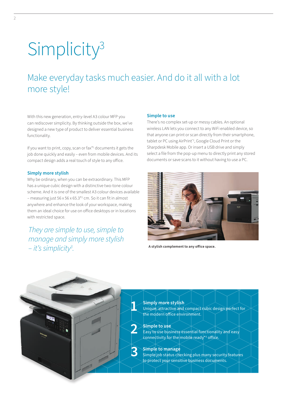# **Simplicity<sup>3</sup>**

## Make everyday tasks much easier. And do it all with a lot more style!

With this new generation, entry-level A3 colour MFP you can rediscover simplicity. By thinking outside the box, we've designed a new type of product to deliver essential business functionality.

If you want to print, copy, scan or fax\*1 documents it gets the job done quickly and easily – even from mobile devices. And its compact design adds a real touch of style to any office.

#### **Simply more stylish**

Why be ordinary, when you can be extraordinary. This MFP has a unique cubic design with a distinctive two-tone colour scheme. And it is one of the smallest A3 colour devices available – measuring just 56 x 56 x 65.3\*2 cm. So it can fit in almost anywhere and enhance the look of your workspace, making them an ideal choice for use on office desktops or in locations with restricted space.

*They are simple to use, simple to manage and simply more stylish – it's simplicity3 .*

#### **Simple to use**

There's no complex set-up or messy cables. An optional wireless LAN lets you connect to any WiFi enabled device, so that anyone can print or scan directly from their smartphone, tablet or PC using AirPrint<sup>2</sup>, Google Cloud Print or the Sharpdesk Mobile app. Or insert a USB drive and simply select a file from the pop-up menu to directly print any stored documents or save scans to it without having to use a PC.



**A stylish complement to any office space.**

#### **Simply more stylish**

Unique, attractive and compact cubic design perfect for the modern office environment.

#### **Simple to use**

**1**

**2**

**3**

Easy to use business essential functionality and easy konnectivity for the mobile ready\*3 office.

**Simple to manage** Simple job status checking plus many security features to protect your sensitive business documents.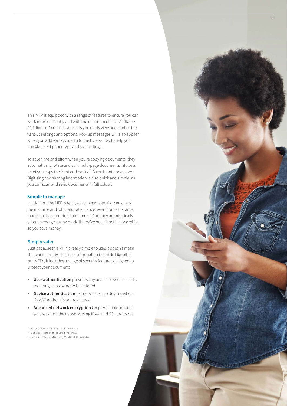This MFP is equipped with a range of features to ensure you can work more efficiently and with the minimum of fuss. A tiltable 4", 5-line LCD control panel lets you easily view and control the various settings and options. Pop-up messages will also appear when you add various media to the bypass tray to help you quickly select paper type and size settings.

To save time and effort when you're copying documents, they automatically rotate and sort multi-page documents into sets or let you copy the front and back of ID cards onto one page. Digitising and sharing information is also quick and simple, as you can scan and send documents in full colour.

#### **Simple to manage**

In addition, the MFP is really easy to manage. You can check the machine and job status at a glance, even from a distance, thanks to the status indicator lamps. And they automatically enter an energy saving mode if they've been inactive for a while, so you save money.

#### **Simply safer**

Just because this MFP is really simple to use, it doesn't mean that your sensitive business information is at risk. Like all of our MFPs, it includes a range of security features designed to protect your documents:

- **User authentication** prevents any unauthorised access by requiring a password to be entered
- **Device authentication** restricts access to devices whose IP/MAC address is pre-registered
- **Advanced network encryption** keeps your information secure across the network using IPsec and SSL protocols

\*1 Optional Fax module required - BP-FX10

\*2 Optional Postscript required - MX-PK11

\*3 Requires optional MX-EB18, Wireless LAN Adapter.